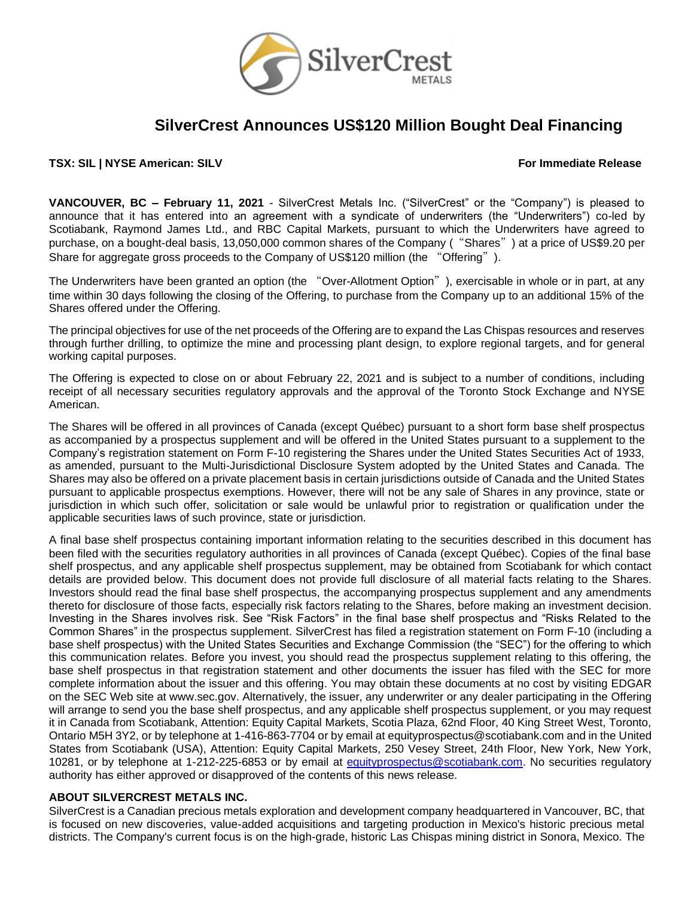

# **SilverCrest Announces US\$120 Million Bought Deal Financing**

**TSX: SIL | NYSE American: SILV For Immediate Release**

**VANCOUVER, BC – February 11, 2021** - SilverCrest Metals Inc. ("SilverCrest" or the "Company") is pleased to announce that it has entered into an agreement with a syndicate of underwriters (the "Underwriters") co-led by Scotiabank, Raymond James Ltd., and RBC Capital Markets, pursuant to which the Underwriters have agreed to purchase, on a bought-deal basis, 13,050,000 common shares of the Company ("Shares") at a price of US\$9.20 per Share for aggregate gross proceeds to the Company of US\$120 million (the "Offering").

The Underwriters have been granted an option (the "Over-Allotment Option"), exercisable in whole or in part, at any time within 30 days following the closing of the Offering, to purchase from the Company up to an additional 15% of the Shares offered under the Offering.

The principal objectives for use of the net proceeds of the Offering are to expand the Las Chispas resources and reserves through further drilling, to optimize the mine and processing plant design, to explore regional targets, and for general working capital purposes.

The Offering is expected to close on or about February 22, 2021 and is subject to a number of conditions, including receipt of all necessary securities regulatory approvals and the approval of the Toronto Stock Exchange and NYSE American.

The Shares will be offered in all provinces of Canada (except Québec) pursuant to a short form base shelf prospectus as accompanied by a prospectus supplement and will be offered in the United States pursuant to a supplement to the Company's registration statement on Form F-10 registering the Shares under the United States Securities Act of 1933, as amended, pursuant to the Multi-Jurisdictional Disclosure System adopted by the United States and Canada. The Shares may also be offered on a private placement basis in certain jurisdictions outside of Canada and the United States pursuant to applicable prospectus exemptions. However, there will not be any sale of Shares in any province, state or jurisdiction in which such offer, solicitation or sale would be unlawful prior to registration or qualification under the applicable securities laws of such province, state or jurisdiction.

A final base shelf prospectus containing important information relating to the securities described in this document has been filed with the securities regulatory authorities in all provinces of Canada (except Québec). Copies of the final base shelf prospectus, and any applicable shelf prospectus supplement, may be obtained from Scotiabank for which contact details are provided below. This document does not provide full disclosure of all material facts relating to the Shares. Investors should read the final base shelf prospectus, the accompanying prospectus supplement and any amendments thereto for disclosure of those facts, especially risk factors relating to the Shares, before making an investment decision. Investing in the Shares involves risk. See "Risk Factors" in the final base shelf prospectus and "Risks Related to the Common Shares" in the prospectus supplement. SilverCrest has filed a registration statement on Form F-10 (including a base shelf prospectus) with the United States Securities and Exchange Commission (the "SEC") for the offering to which this communication relates. Before you invest, you should read the prospectus supplement relating to this offering, the base shelf prospectus in that registration statement and other documents the issuer has filed with the SEC for more complete information about the issuer and this offering. You may obtain these documents at no cost by visiting EDGAR on the SEC Web site at www.sec.gov. Alternatively, the issuer, any underwriter or any dealer participating in the Offering will arrange to send you the base shelf prospectus, and any applicable shelf prospectus supplement, or you may request it in Canada from Scotiabank, Attention: Equity Capital Markets, Scotia Plaza, 62nd Floor, 40 King Street West, Toronto, Ontario M5H 3Y2, or by telephone at 1-416-863-7704 or by email at equityprospectus@scotiabank.com and in the United States from Scotiabank (USA), Attention: Equity Capital Markets, 250 Vesey Street, 24th Floor, New York, New York, 10281, or by telephone at 1-212-225-6853 or by email at equityprospectus@scotiabank.com. No securities regulatory authority has either approved or disapproved of the contents of this news release.

# **ABOUT SILVERCREST METALS INC.**

SilverCrest is a Canadian precious metals exploration and development company headquartered in Vancouver, BC, that is focused on new discoveries, value-added acquisitions and targeting production in Mexico's historic precious metal districts. The Company's current focus is on the high-grade, historic Las Chispas mining district in Sonora, Mexico. The